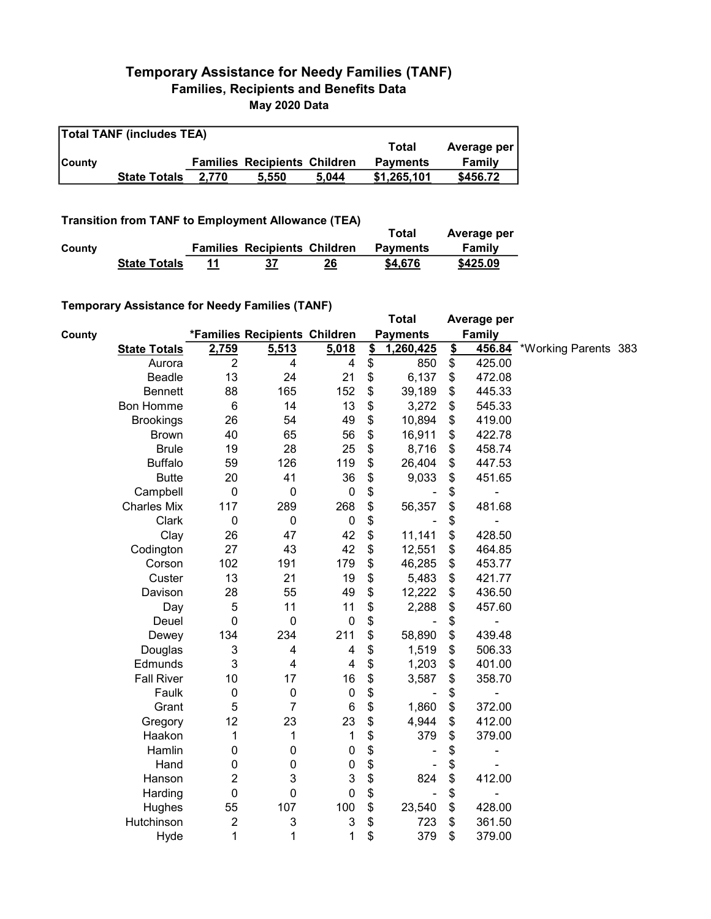## Temporary Assistance for Needy Families (TANF) Families, Recipients and Benefits Data May 2020 Data

| <b>Total TANF (includes TEA)</b> |                     |       |                                     |       |                 |             |  |  |  |
|----------------------------------|---------------------|-------|-------------------------------------|-------|-----------------|-------------|--|--|--|
|                                  |                     |       |                                     |       | Total           | Average per |  |  |  |
| <b>County</b>                    |                     |       | <b>Families Recipients Children</b> |       | <b>Payments</b> | Family      |  |  |  |
|                                  | <b>State Totals</b> | 2.770 | 5.550                               | 5.044 | \$1,265,101     | \$456.72    |  |  |  |

Transition from TANF to Employment Allowance (TEA)

|        | <b>TRUSKION NON LANE to Employment Anowance (TEA)</b> |    |                                     |    | Total           | Average per |
|--------|-------------------------------------------------------|----|-------------------------------------|----|-----------------|-------------|
| County |                                                       |    | <b>Families Recipients Children</b> |    | <b>Payments</b> | Family      |
|        | <b>State Totals</b>                                   | 11 | 37                                  | 26 | \$4,676         | \$425.09    |

## Temporary Assistance for Needy Families (TANF)

|        |                     |                |                               |             |                           | <b>Total</b>    |               | Average per   |                      |  |
|--------|---------------------|----------------|-------------------------------|-------------|---------------------------|-----------------|---------------|---------------|----------------------|--|
| County |                     |                | *Families Recipients Children |             |                           | <b>Payments</b> |               | <b>Family</b> |                      |  |
|        | <b>State Totals</b> | 2,759          | 5,513                         | 5,018       | $\mathbf{\underline{\$}}$ | 1,260,425       | $\frac{1}{2}$ | 456.84        | *Working Parents 383 |  |
|        | Aurora              | $\overline{2}$ | 4                             | 4           | \$                        | 850             | \$            | 425.00        |                      |  |
|        | Beadle              | 13             | 24                            | 21          | \$                        | 6,137           | \$            | 472.08        |                      |  |
|        | <b>Bennett</b>      | 88             | 165                           | 152         | \$                        | 39,189          | \$            | 445.33        |                      |  |
|        | Bon Homme           | 6              | 14                            | 13          | \$                        | 3,272           | \$            | 545.33        |                      |  |
|        | <b>Brookings</b>    | 26             | 54                            | 49          | \$                        | 10,894          | \$            | 419.00        |                      |  |
|        | <b>Brown</b>        | 40             | 65                            | 56          | \$                        | 16,911          | \$            | 422.78        |                      |  |
|        | <b>Brule</b>        | 19             | 28                            | 25          | \$                        | 8,716           | \$            | 458.74        |                      |  |
|        | <b>Buffalo</b>      | 59             | 126                           | 119         | \$                        | 26,404          | \$            | 447.53        |                      |  |
|        | <b>Butte</b>        | 20             | 41                            | 36          | \$                        | 9,033           | \$            | 451.65        |                      |  |
|        | Campbell            | $\mathbf 0$    | $\boldsymbol{0}$              | $\pmb{0}$   | \$                        |                 | \$            |               |                      |  |
|        | <b>Charles Mix</b>  | 117            | 289                           | 268         | \$                        | 56,357          | \$            | 481.68        |                      |  |
|        | Clark               | $\mathbf 0$    | $\boldsymbol{0}$              | $\pmb{0}$   | \$                        |                 | \$            |               |                      |  |
|        | Clay                | 26             | 47                            | 42          | \$                        | 11,141          | \$            | 428.50        |                      |  |
|        | Codington           | 27             | 43                            | 42          | \$                        | 12,551          | \$            | 464.85        |                      |  |
|        | Corson              | 102            | 191                           | 179         | \$                        | 46,285          | \$            | 453.77        |                      |  |
|        | Custer              | 13             | 21                            | 19          | \$                        | 5,483           | \$            | 421.77        |                      |  |
|        | Davison             | 28             | 55                            | 49          | \$                        | 12,222          | \$            | 436.50        |                      |  |
|        | Day                 | $\mathbf 5$    | 11                            | 11          | \$                        | 2,288           | \$            | 457.60        |                      |  |
|        | Deuel               | $\mathbf 0$    | $\mathbf 0$                   | $\pmb{0}$   | \$                        |                 | \$            |               |                      |  |
|        | Dewey               | 134            | 234                           | 211         | \$                        | 58,890          | \$            | 439.48        |                      |  |
|        | Douglas             | 3              | 4                             | 4           | \$                        | 1,519           | \$            | 506.33        |                      |  |
|        | Edmunds             | 3              | 4                             | 4           | \$                        | 1,203           | \$            | 401.00        |                      |  |
|        | <b>Fall River</b>   | 10             | 17                            | 16          | \$                        | 3,587           | \$            | 358.70        |                      |  |
|        | Faulk               | $\mathbf 0$    | 0                             | $\pmb{0}$   | \$                        |                 | \$            | -             |                      |  |
|        | Grant               | 5              | 7                             | 6           | \$                        | 1,860           | \$            | 372.00        |                      |  |
|        | Gregory             | 12             | 23                            | 23          | \$                        | 4,944           | \$            | 412.00        |                      |  |
|        | Haakon              | 1              | 1                             | 1           | \$                        | 379             | \$            | 379.00        |                      |  |
|        | Hamlin              | $\mathbf 0$    | 0                             | $\mathbf 0$ | \$                        |                 | \$            | ۰             |                      |  |
|        | Hand                | 0              | 0                             | $\mathbf 0$ | \$                        |                 | \$            |               |                      |  |
|        | Hanson              | $\overline{c}$ | 3                             | 3           | \$                        | 824             | \$            | 412.00        |                      |  |
|        | Harding             | $\pmb{0}$      | 0                             | $\mathbf 0$ | \$                        |                 | \$            |               |                      |  |
|        | Hughes              | 55             | 107                           | 100         | \$                        | 23,540          | \$            | 428.00        |                      |  |
|        | Hutchinson          | $\overline{2}$ | 3                             | 3           | \$                        | 723             | \$            | 361.50        |                      |  |
|        | Hyde                | 1              | 1                             | 1           | \$                        | 379             | \$            | 379.00        |                      |  |